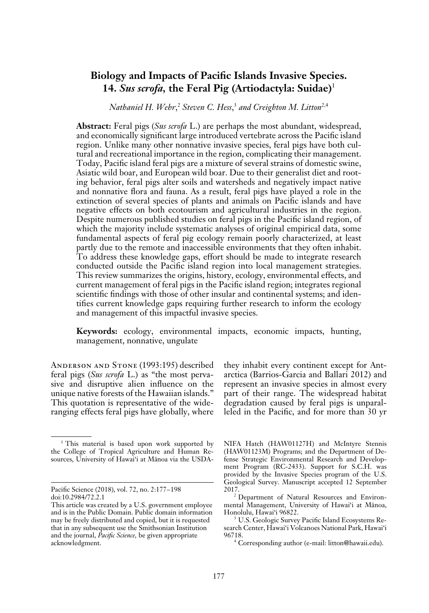# **Biology and Impacts of Pacific Islands Invasive Species. 14.** *Sus scrofa,* **the Feral Pig (Artiodactyla: Suidae)**<sup>1</sup>

 $N$ athaniel H. Wehr,<sup>2</sup> Steven C. Hess,<sup>3</sup> and Creighton M. Litton<sup>2,4</sup>

**Abstract:** Feral pigs (*Sus scrofa* L.) are perhaps the most abundant, widespread, and economically significant large introduced vertebrate across the Pacific island region. Unlike many other nonnative invasive species, feral pigs have both cultural and recreational importance in the region, complicating their management. Today, Pacific island feral pigs are a mixture of several strains of domestic swine, Asiatic wild boar, and European wild boar. Due to their generalist diet and rooting behavior, feral pigs alter soils and watersheds and negatively impact native and nonnative flora and fauna. As a result, feral pigs have played a role in the extinction of several species of plants and animals on Pacific islands and have negative effects on both ecotourism and agricultural industries in the region. Despite numerous published studies on feral pigs in the Pacific island region, of which the majority include systematic analyses of original empirical data, some fundamental aspects of feral pig ecology remain poorly characterized, at least partly due to the remote and inaccessible environments that they often inhabit. To address these knowledge gaps, effort should be made to integrate research conducted outside the Pacific island region into local management strategies. This review summarizes the origins, history, ecology, environmental effects, and current management of feral pigs in the Pacific island region; integrates regional scientific findings with those of other insular and continental systems; and identifies current knowledge gaps requiring further research to inform the ecology and management of this impactful invasive species.

**Keywords:** ecology, environmental impacts, economic impacts, hunting, management, nonnative, ungulate

Anderson and Stone (1993:195) described feral pigs (*Sus scrofa* L.) as "the most pervasive and disruptive alien influence on the unique native forests of the Hawaiian islands." This quotation is representative of the wideranging effects feral pigs have globally, where

they inhabit every continent except for Antarctica (Barrios-Garcia and Ballari 2012) and represent an invasive species in almost every part of their range. The widespread habitat degradation caused by feral pigs is unparalleled in the Pacific, and for more than 30 yr

NIFA Hatch (HAW01127H) and McIntyre Stennis (HAW01123M) Programs; and the Department of Defense Strategic Environmental Research and Development Program (RC-2433). Support for S.C.H. was provided by the Invasive Species program of the U.S. Geological Survey. Manuscript accepted 12 September 2017.

<sup>&</sup>lt;sup>1</sup> This material is based upon work supported by the College of Tropical Agriculture and Human Resources, University of Hawai'i at Mänoa via the USDA-

Pacific Science (2018), vol. 72, no. 2:177–198 doi:10.2984/72.2.1

This article was created by a U.S. government employee and is in the Public Domain. Public domain information may be freely distributed and copied, but it is requested that in any subsequent use the Smithsonian Institution and the journal, *Pacific Science,* be given appropriate acknowledgment.

<sup>2</sup> Department of Natural Resources and Environmental Management, University of Hawai'i at Mänoa, Honolulu, Hawai'i 96822.

<sup>&</sup>lt;sup>3</sup> U.S. Geologic Survey Pacific Island Ecosystems Research Center, Hawai'i Volcanoes National Park, Hawai'i 96718.

<sup>4</sup> Corresponding author (e-mail: litton@hawaii.edu).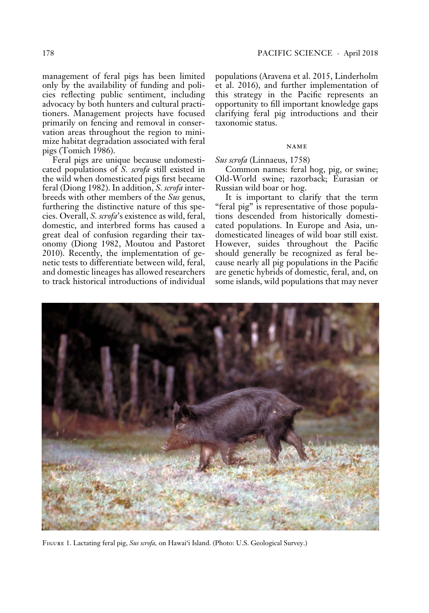management of feral pigs has been limited only by the availability of funding and policies reflecting public sentiment, including advocacy by both hunters and cultural practitioners. Management projects have focused primarily on fencing and removal in conservation areas throughout the region to minimize habitat degradation associated with feral pigs (Tomich 1986).

Feral pigs are unique because undomesticated populations of *S. scrofa* still existed in the wild when domesticated pigs first became feral (Diong 1982). In addition, *S. scrofa* interbreeds with other members of the *Sus* genus, furthering the distinctive nature of this species. Overall, *S. scrofa*'s existence as wild, feral, domestic, and interbred forms has caused a great deal of confusion regarding their taxonomy (Diong 1982, Moutou and Pastoret 2010). Recently, the implementation of genetic tests to differentiate between wild, feral, and domestic lineages has allowed researchers to track historical introductions of individual populations (Aravena et al. 2015, Linderholm et al. 2016), and further implementation of this strategy in the Pacific represents an opportunity to fill important knowledge gaps clarifying feral pig introductions and their taxonomic status.

#### name

## *Sus scrofa* (Linnaeus, 1758)

Common names: feral hog, pig, or swine; Old-World swine; razorback; Eurasian or Russian wild boar or hog.

It is important to clarify that the term "feral pig" is representative of those populations descended from historically domesticated populations. In Europe and Asia, undomesticated lineages of wild boar still exist. However, suides throughout the Pacific should generally be recognized as feral because nearly all pig populations in the Pacific are genetic hybrids of domestic, feral, and, on some islands, wild populations that may never



Figure 1. Lactating feral pig, *Sus scrofa,* on Hawai'i Island. (Photo: U.S. Geological Survey.)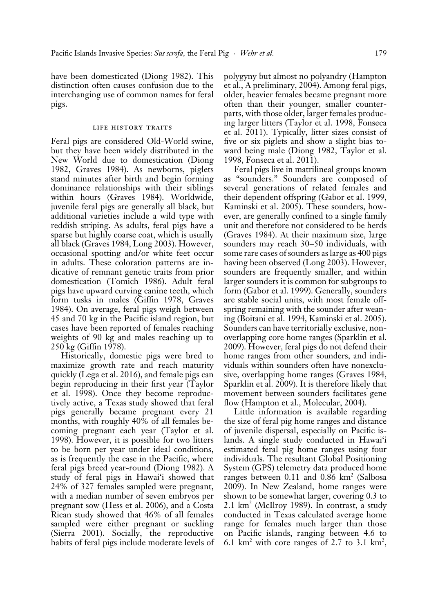have been domesticated (Diong 1982). This distinction often causes confusion due to the interchanging use of common names for feral pigs.

## LIFE HISTORY TRAITS

Feral pigs are considered Old-World swine, but they have been widely distributed in the New World due to domestication (Diong 1982, Graves 1984). As newborns, piglets stand minutes after birth and begin forming dominance relationships with their siblings within hours (Graves 1984). Worldwide, juvenile feral pigs are generally all black, but additional varieties include a wild type with reddish striping. As adults, feral pigs have a sparse but highly coarse coat, which is usually all black (Graves 1984, Long 2003). However, occasional spotting and/or white feet occur in adults. These coloration patterns are indicative of remnant genetic traits from prior domestication (Tomich 1986). Adult feral pigs have upward curving canine teeth, which form tusks in males (Giffin 1978, Graves 1984). On average, feral pigs weigh between 45 and 70 kg in the Pacific island region, but cases have been reported of females reaching weights of 90 kg and males reaching up to 250 kg (Giffin 1978).

Historically, domestic pigs were bred to maximize growth rate and reach maturity quickly (Lega et al. 2016), and female pigs can begin reproducing in their first year (Taylor et al. 1998). Once they become reproductively active, a Texas study showed that feral pigs generally became pregnant every 21 months, with roughly 40% of all females becoming pregnant each year (Taylor et al. 1998). However, it is possible for two litters to be born per year under ideal conditions, as is frequently the case in the Pacific, where feral pigs breed year-round (Diong 1982). A study of feral pigs in Hawai'i showed that 24% of 327 females sampled were pregnant, with a median number of seven embryos per pregnant sow (Hess et al. 2006), and a Costa Rican study showed that 46% of all females sampled were either pregnant or suckling (Sierra 2001). Socially, the reproductive habits of feral pigs include moderate levels of polygyny but almost no polyandry (Hampton et al., A preliminary, 2004). Among feral pigs, older, heavier females became pregnant more often than their younger, smaller counterparts, with those older, larger females producing larger litters (Taylor et al. 1998, Fonseca et al. 2011). Typically, litter sizes consist of five or six piglets and show a slight bias toward being male (Diong 1982, Taylor et al. 1998, Fonseca et al. 2011).

Feral pigs live in matrilineal groups known as "sounders." Sounders are composed of several generations of related females and their dependent offspring (Gabor et al. 1999, Kaminski et al. 2005). These sounders, however, are generally confined to a single family unit and therefore not considered to be herds (Graves 1984). At their maximum size, large sounders may reach 30–50 individuals, with some rare cases of sounders as large as 400 pigs having been observed (Long 2003). However, sounders are frequently smaller, and within larger sounders it is common for subgroups to form (Gabor et al. 1999). Generally, sounders are stable social units, with most female offspring remaining with the sounder after weaning (Boitani et al. 1994, Kaminski et al. 2005). Sounders can have territorially exclusive, nonoverlapping core home ranges (Sparklin et al. 2009). However, feral pigs do not defend their home ranges from other sounders, and individuals within sounders often have nonexclusive, overlapping home ranges (Graves 1984, Sparklin et al. 2009). It is therefore likely that movement between sounders facilitates gene flow (Hampton et al., Molecular, 2004).

Little information is available regarding the size of feral pig home ranges and distance of juvenile dispersal, especially on Pacific islands. A single study conducted in Hawai'i estimated feral pig home ranges using four individuals. The resultant Global Positioning System (GPS) telemetry data produced home ranges between  $0.11$  and  $0.86$  km<sup>2</sup> (Salbosa 2009). In New Zealand, home ranges were shown to be somewhat larger, covering 0.3 to 2.1 km2 (McIlroy 1989). In contrast, a study conducted in Texas calculated average home range for females much larger than those on Pacific islands, ranging between 4.6 to 6.1  $\text{km}^2$  with core ranges of 2.7 to 3.1  $\text{km}^2$ ,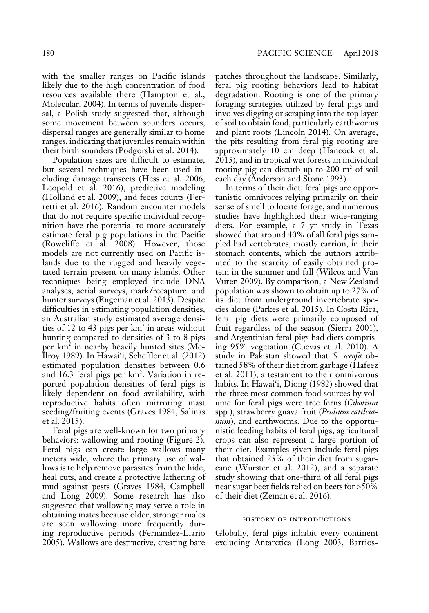with the smaller ranges on Pacific islands likely due to the high concentration of food resources available there (Hampton et al., Molecular, 2004). In terms of juvenile dispersal, a Polish study suggested that, although some movement between sounders occurs, dispersal ranges are generally similar to home ranges, indicating that juveniles remain within their birth sounders (Podgorski et al. 2014).

Population sizes are difficult to estimate, but several techniques have been used including damage transects (Hess et al. 2006, Leopold et al. 2016), predictive modeling (Holland et al. 2009), and feces counts (Ferretti et al. 2016). Random encounter models that do not require specific individual recognition have the potential to more accurately estimate feral pig populations in the Pacific (Rowcliffe et al. 2008). However, those models are not currently used on Pacific islands due to the rugged and heavily vegetated terrain present on many islands. Other techniques being employed include DNA analyses, aerial surveys, mark /recapture, and hunter surveys (Engeman et al. 2013). Despite difficulties in estimating population densities, an Australian study estimated average densities of 12 to 43 pigs per  $km<sup>2</sup>$  in areas without hunting compared to densities of 3 to 8 pigs per  $km^2$  in nearby heavily hunted sites (Mc-Ilroy 1989). In Hawai'i, Scheffler et al. (2012) estimated population densities between 0.6 and 16.3 feral pigs per km<sup>2</sup>. Variation in reported population densities of feral pigs is likely dependent on food availability, with reproductive habits often mirroring mast seeding/fruiting events (Graves 1984, Salinas et al. 2015).

Feral pigs are well-known for two primary behaviors: wallowing and rooting (Figure 2). Feral pigs can create large wallows many meters wide, where the primary use of wallows is to help remove parasites from the hide, heal cuts, and create a protective lathering of mud against pests (Graves 1984, Campbell and Long 2009). Some research has also suggested that wallowing may serve a role in obtaining mates because older, stronger males are seen wallowing more frequently during reproductive periods (Fernandez-Llario 2005). Wallows are destructive, creating bare

patches throughout the landscape. Similarly, feral pig rooting behaviors lead to habitat degradation. Rooting is one of the primary foraging strategies utilized by feral pigs and involves digging or scraping into the top layer of soil to obtain food, particularly earthworms and plant roots (Lincoln 2014). On average, the pits resulting from feral pig rooting are approximately 10 cm deep (Hancock et al. 2015), and in tropical wet forests an individual rooting pig can disturb up to  $200 \text{ m}^2$  of soil each day (Anderson and Stone 1993).

In terms of their diet, feral pigs are opportunistic omnivores relying primarily on their sense of smell to locate forage, and numerous studies have highlighted their wide-ranging diets. For example, a 7 yr study in Texas showed that around 40% of all feral pigs sampled had vertebrates, mostly carrion, in their stomach contents, which the authors attributed to the scarcity of easily obtained protein in the summer and fall (Wilcox and Van Vuren 2009). By comparison, a New Zealand population was shown to obtain up to 27% of its diet from underground invertebrate species alone (Parkes et al. 2015). In Costa Rica, feral pig diets were primarily composed of fruit regardless of the season (Sierra 2001), and Argentinian feral pigs had diets comprising 95% vegetation (Cuevas et al. 2010). A study in Pakistan showed that *S. scrofa* obtained 58% of their diet from garbage (Hafeez et al. 2011), a testament to their omnivorous habits. In Hawai'i, Diong (1982) showed that the three most common food sources by volume for feral pigs were tree ferns (*Cibotium*  spp*.*), strawberry guava fruit (*Psidium cattleianum*), and earthworms. Due to the opportunistic feeding habits of feral pigs, agricultural crops can also represent a large portion of their diet. Examples given include feral pigs that obtained 25% of their diet from sugarcane (Wurster et al. 2012), and a separate study showing that one-third of all feral pigs near sugar beet fields relied on beets for >50% of their diet (Zeman et al. 2016).

## history of introductions

Globally, feral pigs inhabit every continent excluding Antarctica (Long 2003, Barrios-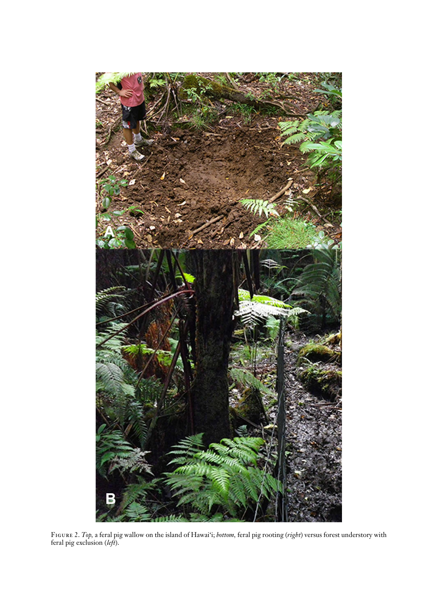

Figure 2. *Top,* a feral pig wallow on the island of Hawai'i; *bottom,* feral pig rooting (*right*) versus forest understory with feral pig exclusion (*left*).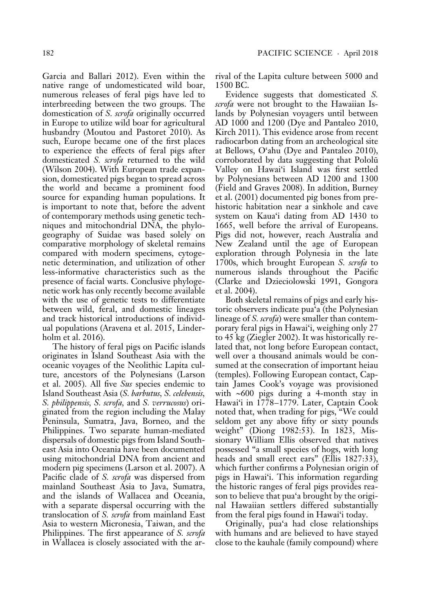Garcia and Ballari 2012). Even within the native range of undomesticated wild boar, numerous releases of feral pigs have led to interbreeding between the two groups. The domestication of *S. scrofa* originally occurred in Europe to utilize wild boar for agricultural husbandry (Moutou and Pastoret 2010). As such, Europe became one of the first places to experience the effects of feral pigs after domesticated *S. scrofa* returned to the wild (Wilson 2004). With European trade expansion, domesticated pigs began to spread across the world and became a prominent food source for expanding human populations. It is important to note that, before the advent of contemporary methods using genetic techniques and mitochondrial DNA, the phylogeography of Suidae was based solely on comparative morphology of skeletal remains compared with modern specimens, cytogenetic determination, and utilization of other less-informative characteristics such as the presence of facial warts. Conclusive phylogenetic work has only recently become available with the use of genetic tests to differentiate between wild, feral, and domestic lineages and track historical introductions of individual populations (Aravena et al. 2015, Linderholm et al. 2016).

The history of feral pigs on Pacific islands originates in Island Southeast Asia with the oceanic voyages of the Neolithic Lapita culture, ancestors of the Polynesians (Larson et al. 2005). All five *Sus* species endemic to Island Southeast Asia (*S. barbutus, S. celebensis, S. philippensis, S. scrofa,* and *S. verrucosus*) originated from the region including the Malay Peninsula, Sumatra, Java, Borneo, and the Philippines. Two separate human-mediated dispersals of domestic pigs from Island Southeast Asia into Oceania have been documented using mitochondrial DNA from ancient and modern pig specimens (Larson et al. 2007). A Pacific clade of *S. scrofa* was dispersed from mainland Southeast Asia to Java, Sumatra, and the islands of Wallacea and Oceania, with a separate dispersal occurring with the translocation of *S. scrofa* from mainland East Asia to western Micronesia, Taiwan, and the Philippines. The first appearance of *S. scrofa* in Wallacea is closely associated with the arrival of the Lapita culture between 5000 and 1500 BC.

Evidence suggests that domesticated *S. scrofa* were not brought to the Hawaiian Islands by Polynesian voyagers until between AD 1000 and 1200 (Dye and Pantaleo 2010, Kirch 2011). This evidence arose from recent radiocarbon dating from an archeological site at Bellows, O'ahu (Dye and Pantaleo 2010), corroborated by data suggesting that Pololü Valley on Hawai'i Island was first settled by Polynesians between AD 1200 and 1300 (Field and Graves 2008). In addition, Burney et al. (2001) documented pig bones from prehistoric habitation near a sinkhole and cave system on Kaua'i dating from AD 1430 to 1665, well before the arrival of Europeans. Pigs did not, however, reach Australia and New Zealand until the age of European exploration through Polynesia in the late 1700s, which brought European *S. scrofa* to numerous islands throughout the Pacific (Clarke and Dzieciolowski 1991, Gongora et al. 2004).

Both skeletal remains of pigs and early historic observers indicate pua'a (the Polynesian lineage of *S. scrofa*) were smaller than contemporary feral pigs in Hawai'i, weighing only 27 to 45 kg (Ziegler 2002). It was historically related that, not long before European contact, well over a thousand animals would be consumed at the consecration of important heiau (temples). Following European contact, Captain James Cook's voyage was provisioned with  $~600$  pigs during a 4-month stay in Hawai'i in 1778–1779. Later, Captain Cook noted that, when trading for pigs, "We could seldom get any above fifty or sixty pounds weight" (Diong 1982:53). In 1823, Missionary William Ellis observed that natives possessed "a small species of hogs, with long heads and small erect ears" (Ellis 1827:33), which further confirms a Polynesian origin of pigs in Hawai'i. This information regarding the historic ranges of feral pigs provides reason to believe that pua'a brought by the original Hawaiian settlers differed substantially from the feral pigs found in Hawai'i today.

Originally, pua'a had close relationships with humans and are believed to have stayed close to the kauhale (family compound) where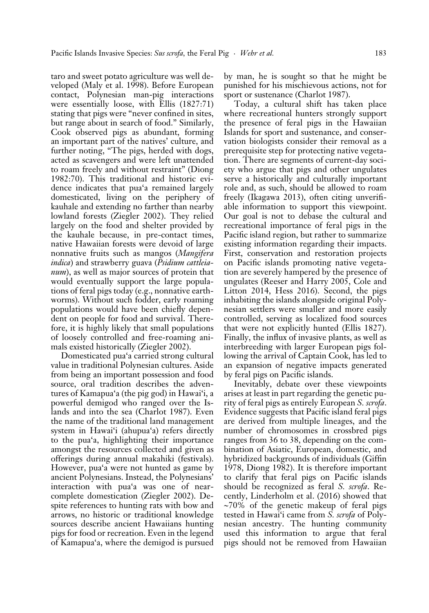taro and sweet potato agriculture was well developed (Maly et al. 1998). Before European contact, Polynesian man-pig interactions were essentially loose, with Ellis (1827:71) stating that pigs were "never confined in sites, but range about in search of food." Similarly, Cook observed pigs as abundant, forming an important part of the natives' culture, and further noting, "The pigs, herded with dogs, acted as scavengers and were left unattended to roam freely and without restraint" (Diong 1982:70). This traditional and historic evidence indicates that pua'a remained largely domesticated, living on the periphery of kauhale and extending no farther than nearby lowland forests (Ziegler 2002). They relied largely on the food and shelter provided by the kauhale because, in pre-contact times, native Hawaiian forests were devoid of large nonnative fruits such as mangos (*Mangifera indica*) and strawberry guava (*Psidium cattleianum*), as well as major sources of protein that would eventually support the large populations of feral pigs today (e.g., nonnative earthworms). Without such fodder, early roaming populations would have been chiefly dependent on people for food and survival. Therefore, it is highly likely that small populations of loosely controlled and free-roaming animals existed historically (Ziegler 2002).

Domesticated pua'a carried strong cultural value in traditional Polynesian cultures. Aside from being an important possession and food source, oral tradition describes the adventures of Kamapua'a (the pig god) in Hawai'i, a powerful demigod who ranged over the Islands and into the sea (Charlot 1987). Even the name of the traditional land management system in Hawai'i (ahupua'a) refers directly to the pua'a, highlighting their importance amongst the resources collected and given as offerings during annual makahiki (festivals). However, pua'a were not hunted as game by ancient Polynesians. Instead, the Polynesians' interaction with pua'a was one of nearcomplete domestication (Ziegler 2002). Despite references to hunting rats with bow and arrows, no historic or traditional knowledge sources describe ancient Hawaiians hunting pigs for food or recreation. Even in the legend of Kamapua'a, where the demigod is pursued

by man, he is sought so that he might be punished for his mischievous actions, not for sport or sustenance (Charlot 1987).

Today, a cultural shift has taken place where recreational hunters strongly support the presence of feral pigs in the Hawaiian Islands for sport and sustenance, and conservation biologists consider their removal as a prerequisite step for protecting native vegetation. There are segments of current-day society who argue that pigs and other ungulates serve a historically and culturally important role and, as such, should be allowed to roam freely (Ikagawa 2013), often citing unverifiable information to support this viewpoint. Our goal is not to debase the cultural and recreational importance of feral pigs in the Pacific island region, but rather to summarize existing information regarding their impacts. First, conservation and restoration projects on Pacific islands promoting native vegetation are severely hampered by the presence of ungulates (Reeser and Harry 2005, Cole and Litton 2014, Hess 2016). Second, the pigs inhabiting the islands alongside original Polynesian settlers were smaller and more easily controlled, serving as localized food sources that were not explicitly hunted (Ellis 1827). Finally, the influx of invasive plants, as well as interbreeding with larger European pigs following the arrival of Captain Cook, has led to an expansion of negative impacts generated by feral pigs on Pacific islands.

Inevitably, debate over these viewpoints arises at least in part regarding the genetic purity of feral pigs as entirely European *S. scrofa*. Evidence suggests that Pacific island feral pigs are derived from multiple lineages, and the number of chromosomes in crossbred pigs ranges from 36 to 38, depending on the combination of Asiatic, European, domestic, and hybridized backgrounds of individuals (Giffin 1978, Diong 1982). It is therefore important to clarify that feral pigs on Pacific islands should be recognized as feral *S. scrofa*. Recently, Linderholm et al. (2016) showed that  $\sim$ 70% of the genetic makeup of feral pigs tested in Hawai'i came from *S. scrofa* of Polynesian ancestry. The hunting community used this information to argue that feral pigs should not be removed from Hawaiian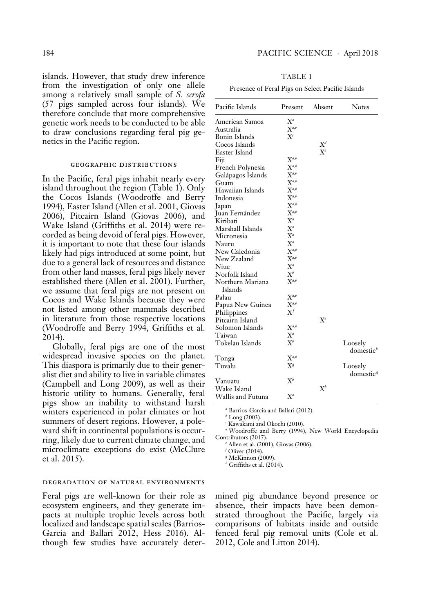islands. However, that study drew inference from the investigation of only one allele among a relatively small sample of *S. scrofa*  (57 pigs sampled across four islands). We therefore conclude that more comprehensive genetic work needs to be conducted to be able to draw conclusions regarding feral pig genetics in the Pacific region.

#### geographic distributions

In the Pacific, feral pigs inhabit nearly every island throughout the region (Table 1). Only the Cocos Islands (Woodroffe and Berry 1994), Easter Island (Allen et al. 2001, Giovas 2006), Pitcairn Island (Giovas 2006), and Wake Island (Griffiths et al. 2014) were recorded as being devoid of feral pigs. However, it is important to note that these four islands likely had pigs introduced at some point, but due to a general lack of resources and distance from other land masses, feral pigs likely never established there (Allen et al. 2001). Further, we assume that feral pigs are not present on Cocos and Wake Islands because they were not listed among other mammals described in literature from those respective locations (Woodroffe and Berry 1994, Griffiths et al. 2014).

Globally, feral pigs are one of the most widespread invasive species on the planet. This diaspora is primarily due to their generalist diet and ability to live in variable climates (Campbell and Long 2009), as well as their historic utility to humans. Generally, feral pigs show an inability to withstand harsh winters experienced in polar climates or hot summers of desert regions. However, a poleward shift in continental populations is occurring, likely due to current climate change, and microclimate exceptions do exist (McClure et al. 2015).

#### degradation of natural environments

Feral pigs are well-known for their role as ecosystem engineers, and they generate impacts at multiple trophic levels across both localized and landscape spatial scales (Barrios-Garcia and Ballari 2012, Hess 2016). Although few studies have accurately deter-

| Pacific Islands   | Present        | Absent | <b>Notes</b>                     |
|-------------------|----------------|--------|----------------------------------|
| American Samoa    | $X^a$          |        |                                  |
| Australia         | $X^{a,b}$      |        |                                  |
| Bonin Islands     | $X^c$          |        |                                  |
| Cocos Islands     |                | $X^d$  |                                  |
| Easter Island     |                | $X^e$  |                                  |
| Fiji              | $X^{a,b}$      |        |                                  |
| French Polynesia  | $X^{a,b}$      |        |                                  |
| Galápagos Islands | $X^{a,b}$      |        |                                  |
| Guam              | $X^{a,b}$      |        |                                  |
| Hawaiian Islands  | $X^{a,b}$      |        |                                  |
| Indonesia         | $X^{a,b}$      |        |                                  |
| Japan             | $X^{a,b}$      |        |                                  |
| Juan Fernández    | $X^{a,b}$      |        |                                  |
| Kiribati          | $X^a$          |        |                                  |
| Marshall Islands  | $X^a$          |        |                                  |
| Micronesia        | $X^a$          |        |                                  |
| Nauru             | $X^a$          |        |                                  |
| New Caledonia     | $X^{a,b}$      |        |                                  |
| New Zealand       | $X^{a,b}$      |        |                                  |
| Niue              | $X^a$          |        |                                  |
| Norfolk Island    | $\mathrm{X}^b$ |        |                                  |
| Northern Mariana  | $X^{a,b}$      |        |                                  |
| Islands           |                |        |                                  |
| Palau             | $X^{a,b}$      |        |                                  |
| Papua New Guinea  | $X^{a,b}$      |        |                                  |
| Philippines       | $X^f$          |        |                                  |
| Pitcairn Island   |                | $X^e$  |                                  |
| Solomon Islands   | $X^{a,b}$      |        |                                  |
| Taiwan            | $X^a$          |        |                                  |
| Tokelau Islands   | $X^b$          |        | Loosely<br>domestic <sup>b</sup> |
| Tonga             | $X^{a,b}$      |        |                                  |
| Tuvalu            | $X^g$          |        | Loosely                          |
|                   |                |        | domestic <sup>g</sup>            |
| Vanuatu           | $\mathrm{X}^b$ |        |                                  |
| Wake Island       |                | $X^b$  |                                  |
| Wallis and Futuna | $X^a$          |        |                                  |
|                   |                |        |                                  |

*a* Barrios-Garcia and Ballari (2012).

*b* Long (2003).

*c* Kawakami and Okochi (2010).

*d* Woodroffe and Berry (1994), New World Encyclopedia Contributors (2017).

*e* Allen et al. (2001), Giovas (2006).

*f* Oliver (2014).

*g* McKinnon (2009).

*h* Griffiths et al. (2014).

mined pig abundance beyond presence or absence, their impacts have been demonstrated throughout the Pacific, largely via comparisons of habitats inside and outside fenced feral pig removal units (Cole et al. 2012, Cole and Litton 2014).

TABLE 1

Presence of Feral Pigs on Select Pacific Islands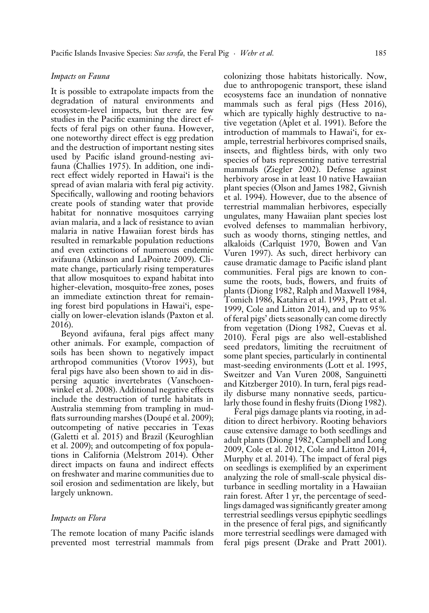# *Impacts on Fauna*

It is possible to extrapolate impacts from the degradation of natural environments and ecosystem-level impacts, but there are few studies in the Pacific examining the direct effects of feral pigs on other fauna. However, one noteworthy direct effect is egg predation and the destruction of important nesting sites used by Pacific island ground-nesting avifauna (Challies 1975). In addition, one indirect effect widely reported in Hawai'i is the spread of avian malaria with feral pig activity. Specifically, wallowing and rooting behaviors create pools of standing water that provide habitat for nonnative mosquitoes carrying avian malaria, and a lack of resistance to avian malaria in native Hawaiian forest birds has resulted in remarkable population reductions and even extinctions of numerous endemic avifauna (Atkinson and LaPointe 2009). Climate change, particularly rising temperatures that allow mosquitoes to expand habitat into higher-elevation, mosquito-free zones, poses an immediate extinction threat for remaining forest bird populations in Hawai'i, especially on lower-elevation islands (Paxton et al. 2016).

Beyond avifauna, feral pigs affect many other animals. For example, compaction of soils has been shown to negatively impact arthropod communities ( Vtorov 1993), but feral pigs have also been shown to aid in dispersing aquatic invertebrates ( Vanschoenwinkel et al. 2008). Additional negative effects include the destruction of turtle habitats in Australia stemming from trampling in mudflats surrounding marshes (Doupé et al. 2009); outcompeting of native peccaries in Texas (Galetti et al. 2015) and Brazil (Keuroghlian et al. 2009); and outcompeting of fox populations in California (Melstrom 2014). Other direct impacts on fauna and indirect effects on freshwater and marine communities due to soil erosion and sedimentation are likely, but largely unknown.

## *Impacts on Flora*

The remote location of many Pacific islands prevented most terrestrial mammals from

colonizing those habitats historically. Now, due to anthropogenic transport, these island ecosystems face an inundation of nonnative mammals such as feral pigs (Hess 2016), which are typically highly destructive to native vegetation (Aplet et al. 1991). Before the introduction of mammals to Hawai'i, for example, terrestrial herbivores comprised snails, insects, and flightless birds, with only two species of bats representing native terrestrial mammals (Ziegler 2002). Defense against herbivory arose in at least 10 native Hawaiian plant species (Olson and James 1982, Givnish et al. 1994). However, due to the absence of terrestrial mammalian herbivores, especially ungulates, many Hawaiian plant species lost evolved defenses to mammalian herbivory, such as woody thorns, stinging nettles, and alkaloids (Carlquist 1970, Bowen and Van Vuren 1997). As such, direct herbivory can cause dramatic damage to Pacific island plant communities. Feral pigs are known to consume the roots, buds, flowers, and fruits of plants (Diong 1982, Ralph and Maxwell 1984, Tomich 1986, Katahira et al. 1993, Pratt et al. 1999, Cole and Litton 2014), and up to 95% of feral pigs' diets seasonally can come directly from vegetation (Diong 1982, Cuevas et al. 2010). Feral pigs are also well-established seed predators, limiting the recruitment of some plant species, particularly in continental mast-seeding environments (Lott et al. 1995, Sweitzer and Van Vuren 2008, Sanguinetti and Kitzberger 2010). In turn, feral pigs readily disburse many nonnative seeds, particularly those found in fleshy fruits (Diong 1982).

Feral pigs damage plants via rooting, in addition to direct herbivory. Rooting behaviors cause extensive damage to both seedlings and adult plants (Diong 1982, Campbell and Long 2009, Cole et al. 2012, Cole and Litton 2014, Murphy et al. 2014). The impact of feral pigs on seedlings is exemplified by an experiment analyzing the role of small-scale physical disturbance in seedling mortality in a Hawaiian rain forest. After 1 yr, the percentage of seedlings damaged was significantly greater among terrestrial seedlings versus epiphytic seedlings in the presence of feral pigs, and significantly more terrestrial seedlings were damaged with feral pigs present (Drake and Pratt 2001).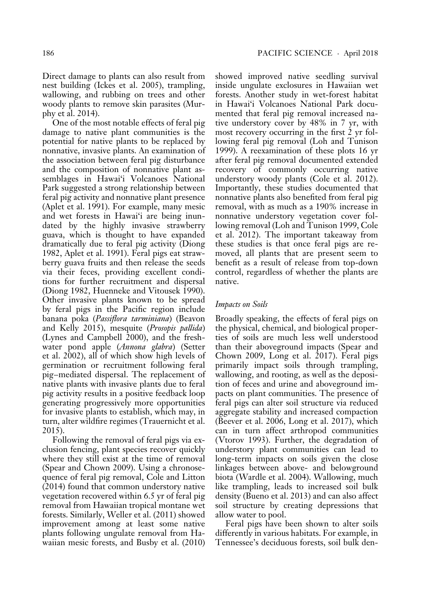Direct damage to plants can also result from nest building (Ickes et al. 2005), trampling, wallowing, and rubbing on trees and other woody plants to remove skin parasites (Murphy et al. 2014).

One of the most notable effects of feral pig damage to native plant communities is the potential for native plants to be replaced by nonnative, invasive plants. An examination of the association between feral pig disturbance and the composition of nonnative plant assemblages in Hawai'i Volcanoes National Park suggested a strong relationship between feral pig activity and nonnative plant presence (Aplet et al. 1991). For example, many mesic and wet forests in Hawai'i are being inundated by the highly invasive strawberry guava, which is thought to have expanded dramatically due to feral pig activity (Diong 1982, Aplet et al. 1991). Feral pigs eat strawberry guava fruits and then release the seeds via their feces, providing excellent conditions for further recruitment and dispersal (Diong 1982, Huenneke and Vitousek 1990). Other invasive plants known to be spread by feral pigs in the Pacific region include banana poka (*Passiflora tarminiana*) (Beavon and Kelly 2015), mesquite (*Prosopis pallida*) (Lynes and Campbell 2000), and the freshwater pond apple (*Annona glabra*) (Setter et al. 2002), all of which show high levels of germination or recruitment following feral pig–mediated dispersal. The replacement of native plants with invasive plants due to feral pig activity results in a positive feedback loop generating progressively more opportunities for invasive plants to establish, which may, in turn, alter wildfire regimes (Trauernicht et al. 2015).

Following the removal of feral pigs via exclusion fencing, plant species recover quickly where they still exist at the time of removal (Spear and Chown 2009). Using a chronosequence of feral pig removal, Cole and Litton (2014) found that common understory native vegetation recovered within 6.5 yr of feral pig removal from Hawaiian tropical montane wet forests. Similarly, Weller et al. (2011) showed improvement among at least some native plants following ungulate removal from Hawaiian mesic forests, and Busby et al. (2010) showed improved native seedling survival inside ungulate exclosures in Hawaiian wet forests. Another study in wet-forest habitat in Hawai'i Volcanoes National Park documented that feral pig removal increased native understory cover by 48% in 7 yr, with most recovery occurring in the first 2 yr following feral pig removal (Loh and Tunison 1999). A reexamination of these plots 16 yr after feral pig removal documented extended recovery of commonly occurring native understory woody plants (Cole et al. 2012). Importantly, these studies documented that nonnative plants also benefited from feral pig removal, with as much as a 190% increase in nonnative understory vegetation cover following removal (Loh and Tunison 1999, Cole et al. 2012). The important takeaway from these studies is that once feral pigs are removed, all plants that are present seem to benefit as a result of release from top-down control, regardless of whether the plants are native.

## *Impacts on Soils*

Broadly speaking, the effects of feral pigs on the physical, chemical, and biological properties of soils are much less well understood than their aboveground impacts (Spear and Chown 2009, Long et al. 2017). Feral pigs primarily impact soils through trampling, wallowing, and rooting, as well as the deposition of feces and urine and aboveground impacts on plant communities. The presence of feral pigs can alter soil structure via reduced aggregate stability and increased compaction (Beever et al. 2006, Long et al. 2017), which can in turn affect arthropod communities ( Vtorov 1993). Further, the degradation of understory plant communities can lead to long-term impacts on soils given the close linkages between above- and belowground biota (Wardle et al. 2004). Wallowing, much like trampling, leads to increased soil bulk density (Bueno et al. 2013) and can also affect soil structure by creating depressions that allow water to pool.

Feral pigs have been shown to alter soils differently in various habitats. For example, in Tennessee's deciduous forests, soil bulk den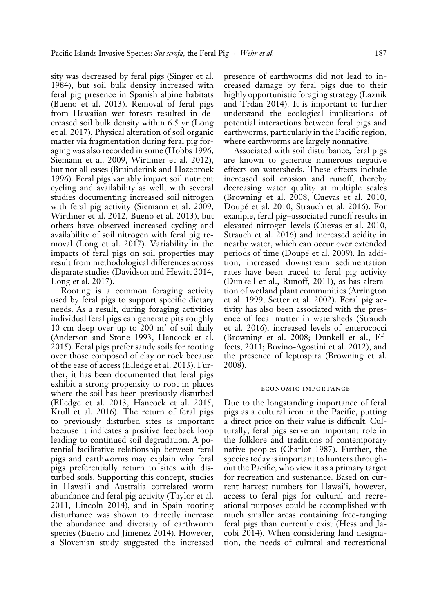sity was decreased by feral pigs (Singer et al. 1984), but soil bulk density increased with feral pig presence in Spanish alpine habitats (Bueno et al. 2013). Removal of feral pigs from Hawaiian wet forests resulted in decreased soil bulk density within 6.5 yr (Long et al. 2017). Physical alteration of soil organic matter via fragmentation during feral pig foraging was also recorded in some (Hobbs 1996, Siemann et al. 2009, Wirthner et al. 2012), but not all cases (Bruinderink and Hazebroek 1996). Feral pigs variably impact soil nutrient cycling and availability as well, with several studies documenting increased soil nitrogen with feral pig activity (Siemann et al. 2009, Wirthner et al. 2012, Bueno et al. 2013), but others have observed increased cycling and availability of soil nitrogen with feral pig removal (Long et al. 2017). Variability in the impacts of feral pigs on soil properties may result from methodological differences across disparate studies (Davidson and Hewitt 2014, Long et al. 2017).

Rooting is a common foraging activity used by feral pigs to support specific dietary needs. As a result, during foraging activities individual feral pigs can generate pits roughly 10 cm deep over up to  $200 \text{ m}^2$  of soil daily (Anderson and Stone 1993, Hancock et al. 2015). Feral pigs prefer sandy soils for rooting over those composed of clay or rock because of the ease of access (Elledge et al. 2013). Further, it has been documented that feral pigs exhibit a strong propensity to root in places where the soil has been previously disturbed (Elledge et al. 2013, Hancock et al. 2015, Krull et al. 2016). The return of feral pigs to previously disturbed sites is important because it indicates a positive feedback loop leading to continued soil degradation. A potential facilitative relationship between feral pigs and earthworms may explain why feral pigs preferentially return to sites with disturbed soils. Supporting this concept, studies in Hawai'i and Australia correlated worm abundance and feral pig activity (Taylor et al. 2011, Lincoln 2014), and in Spain rooting disturbance was shown to directly increase the abundance and diversity of earthworm species (Bueno and Jimenez 2014). However, a Slovenian study suggested the increased

presence of earthworms did not lead to increased damage by feral pigs due to their highly opportunistic foraging strategy (Laznik and Trdan 2014). It is important to further understand the ecological implications of potential interactions between feral pigs and earthworms, particularly in the Pacific region, where earthworms are largely nonnative.

Associated with soil disturbance, feral pigs are known to generate numerous negative effects on watersheds. These effects include increased soil erosion and runoff, thereby decreasing water quality at multiple scales (Browning et al. 2008, Cuevas et al. 2010, Doupé et al. 2010, Strauch et al. 2016). For example, feral pig–associated runoff results in elevated nitrogen levels (Cuevas et al. 2010, Strauch et al. 2016) and increased acidity in nearby water, which can occur over extended periods of time (Doupé et al. 2009). In addition, increased downstream sedimentation rates have been traced to feral pig activity (Dunkell et al., Runoff, 2011), as has alteration of wetland plant communities (Arrington et al. 1999, Setter et al. 2002). Feral pig activity has also been associated with the presence of fecal matter in watersheds (Strauch et al. 2016), increased levels of enterococci (Browning et al. 2008; Dunkell et al., Effects, 2011; Bovino-Agostini et al. 2012), and the presence of leptospira (Browning et al. 2008).

## economic importance

Due to the longstanding importance of feral pigs as a cultural icon in the Pacific, putting a direct price on their value is difficult. Culturally, feral pigs serve an important role in the folklore and traditions of contemporary native peoples (Charlot 1987). Further, the species today is important to hunters throughout the Pacific, who view it as a primary target for recreation and sustenance. Based on current harvest numbers for Hawai'i, however, access to feral pigs for cultural and recreational purposes could be accomplished with much smaller areas containing free-ranging feral pigs than currently exist (Hess and Jacobi 2014). When considering land designation, the needs of cultural and recreational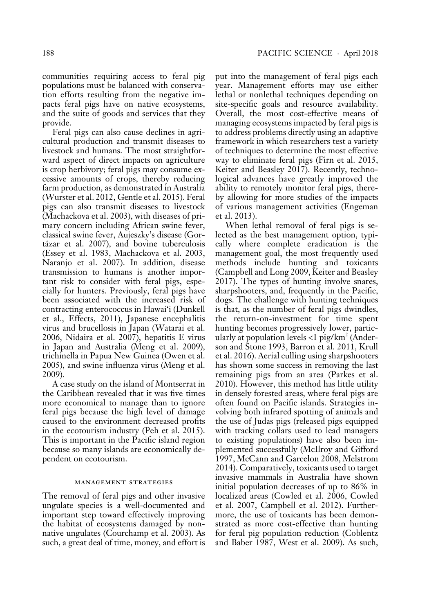communities requiring access to feral pig populations must be balanced with conservation efforts resulting from the negative impacts feral pigs have on native ecosystems, and the suite of goods and services that they provide.

Feral pigs can also cause declines in agricultural production and transmit diseases to livestock and humans. The most straightforward aspect of direct impacts on agriculture is crop herbivory; feral pigs may consume excessive amounts of crops, thereby reducing farm production, as demonstrated in Australia (Wurster et al. 2012, Gentle et al. 2015). Feral pigs can also transmit diseases to livestock (Machackova et al. 2003), with diseases of primary concern including African swine fever, classical swine fever, Aujeszky's disease (Gortázar et al. 2007), and bovine tuberculosis (Essey et al. 1983, Machackova et al. 2003, Naranjo et al. 2007). In addition, disease transmission to humans is another important risk to consider with feral pigs, especially for hunters. Previously, feral pigs have been associated with the increased risk of contracting enterococcus in Hawai'i (Dunkell et al., Effects, 2011), Japanese encephalitis virus and brucellosis in Japan (Watarai et al. 2006, Nidaira et al. 2007), hepatitis E virus in Japan and Australia (Meng et al. 2009), trichinella in Papua New Guinea (Owen et al. 2005), and swine influenza virus (Meng et al. 2009).

A case study on the island of Montserrat in the Caribbean revealed that it was five times more economical to manage than to ignore feral pigs because the high level of damage caused to the environment decreased profits in the ecotourism industry (Peh et al. 2015). This is important in the Pacific island region because so many islands are economically dependent on ecotourism.

#### management strategies

The removal of feral pigs and other invasive ungulate species is a well-documented and important step toward effectively improving the habitat of ecosystems damaged by nonnative ungulates (Courchamp et al. 2003). As such, a great deal of time, money, and effort is put into the management of feral pigs each year. Management efforts may use either lethal or nonlethal techniques depending on site-specific goals and resource availability. Overall, the most cost-effective means of managing ecosystems impacted by feral pigs is to address problems directly using an adaptive framework in which researchers test a variety of techniques to determine the most effective way to eliminate feral pigs (Firn et al. 2015, Keiter and Beasley 2017). Recently, technological advances have greatly improved the ability to remotely monitor feral pigs, thereby allowing for more studies of the impacts of various management activities (Engeman et al. 2013).

When lethal removal of feral pigs is selected as the best management option, typically where complete eradication is the management goal, the most frequently used methods include hunting and toxicants (Campbell and Long 2009, Keiter and Beasley 2017). The types of hunting involve snares, sharpshooters, and, frequently in the Pacific, dogs. The challenge with hunting techniques is that, as the number of feral pigs dwindles, the return-on-investment for time spent hunting becomes progressively lower, particularly at population levels <1 pig/km2 (Anderson and Stone 1993, Barron et al. 2011, Krull et al. 2016). Aerial culling using sharpshooters has shown some success in removing the last remaining pigs from an area (Parkes et al. 2010). However, this method has little utility in densely forested areas, where feral pigs are often found on Pacific islands. Strategies involving both infrared spotting of animals and the use of Judas pigs (released pigs equipped with tracking collars used to lead managers to existing populations) have also been implemented successfully (McIlroy and Gifford 1997, McCann and Garcelon 2008, Melstrom 2014). Comparatively, toxicants used to target invasive mammals in Australia have shown initial population decreases of up to 86% in localized areas (Cowled et al. 2006, Cowled et al. 2007, Campbell et al. 2012). Furthermore, the use of toxicants has been demonstrated as more cost-effective than hunting for feral pig population reduction (Coblentz and Baber 1987, West et al. 2009). As such,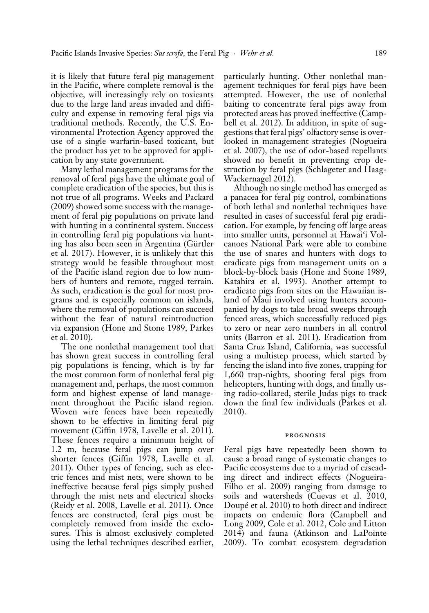it is likely that future feral pig management in the Pacific, where complete removal is the objective, will increasingly rely on toxicants due to the large land areas invaded and difficulty and expense in removing feral pigs via traditional methods. Recently, the U.S. Environmental Protection Agency approved the use of a single warfarin-based toxicant, but the product has yet to be approved for application by any state government.

Many lethal management programs for the removal of feral pigs have the ultimate goal of complete eradication of the species, but this is not true of all programs. Weeks and Packard (2009) showed some success with the management of feral pig populations on private land with hunting in a continental system. Success in controlling feral pig populations via hunting has also been seen in Argentina (Gürtler et al. 2017). However, it is unlikely that this strategy would be feasible throughout most of the Pacific island region due to low numbers of hunters and remote, rugged terrain. As such, eradication is the goal for most programs and is especially common on islands, where the removal of populations can succeed without the fear of natural reintroduction via expansion (Hone and Stone 1989, Parkes et al. 2010).

The one nonlethal management tool that has shown great success in controlling feral pig populations is fencing, which is by far the most common form of nonlethal feral pig management and, perhaps, the most common form and highest expense of land management throughout the Pacific island region. Woven wire fences have been repeatedly shown to be effective in limiting feral pig movement (Giffin 1978, Lavelle et al. 2011). These fences require a minimum height of 1.2 m, because feral pigs can jump over shorter fences (Giffin 1978, Lavelle et al. 2011). Other types of fencing, such as electric fences and mist nets, were shown to be ineffective because feral pigs simply pushed through the mist nets and electrical shocks (Reidy et al. 2008, Lavelle et al. 2011). Once fences are constructed, feral pigs must be completely removed from inside the exclosures. This is almost exclusively completed using the lethal techniques described earlier,

particularly hunting. Other nonlethal management techniques for feral pigs have been attempted. However, the use of nonlethal baiting to concentrate feral pigs away from protected areas has proved ineffective (Campbell et al. 2012). In addition, in spite of suggestions that feral pigs' olfactory sense is overlooked in management strategies (Nogueira et al. 2007), the use of odor-based repellants showed no benefit in preventing crop destruction by feral pigs (Schlageter and Haag-Wackernagel 2012).

Although no single method has emerged as a panacea for feral pig control, combinations of both lethal and nonlethal techniques have resulted in cases of successful feral pig eradication. For example, by fencing off large areas into smaller units, personnel at Hawai'i Volcanoes National Park were able to combine the use of snares and hunters with dogs to eradicate pigs from management units on a block-by-block basis (Hone and Stone 1989, Katahira et al. 1993). Another attempt to eradicate pigs from sites on the Hawaiian island of Maui involved using hunters accompanied by dogs to take broad sweeps through fenced areas, which successfully reduced pigs to zero or near zero numbers in all control units (Barron et al. 2011). Eradication from Santa Cruz Island, California, was successful using a multistep process, which started by fencing the island into five zones, trapping for 1,660 trap-nights, shooting feral pigs from helicopters, hunting with dogs, and finally using radio-collared, sterile Judas pigs to track down the final few individuals (Parkes et al. 2010).

#### prognosis

Feral pigs have repeatedly been shown to cause a broad range of systematic changes to Pacific ecosystems due to a myriad of cascading direct and indirect effects (Nogueira-Filho et al. 2009) ranging from damage to soils and watersheds (Cuevas et al. 2010, Doupé et al. 2010) to both direct and indirect impacts on endemic flora (Campbell and Long 2009, Cole et al. 2012, Cole and Litton 2014) and fauna (Atkinson and LaPointe 2009). To combat ecosystem degradation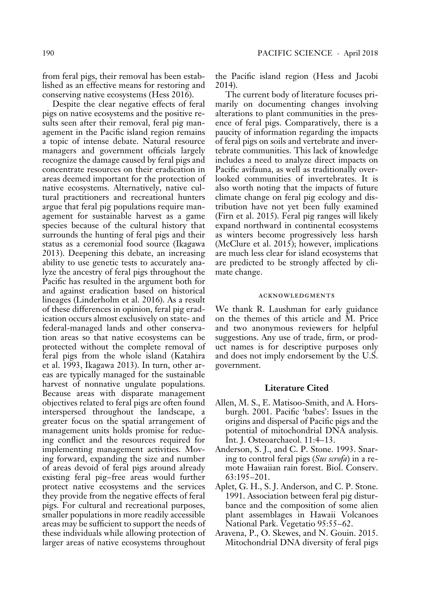from feral pigs, their removal has been established as an effective means for restoring and conserving native ecosystems (Hess 2016).

Despite the clear negative effects of feral pigs on native ecosystems and the positive results seen after their removal, feral pig management in the Pacific island region remains a topic of intense debate. Natural resource managers and government officials largely recognize the damage caused by feral pigs and concentrate resources on their eradication in areas deemed important for the protection of native ecosystems. Alternatively, native cultural practitioners and recreational hunters argue that feral pig populations require management for sustainable harvest as a game species because of the cultural history that surrounds the hunting of feral pigs and their status as a ceremonial food source (Ikagawa 2013). Deepening this debate, an increasing ability to use genetic tests to accurately analyze the ancestry of feral pigs throughout the Pacific has resulted in the argument both for and against eradication based on historical lineages (Linderholm et al. 2016). As a result of these differences in opinion, feral pig eradication occurs almost exclusively on state- and federal-managed lands and other conservation areas so that native ecosystems can be protected without the complete removal of feral pigs from the whole island (Katahira et al. 1993, Ikagawa 2013). In turn, other areas are typically managed for the sustainable harvest of nonnative ungulate populations. Because areas with disparate management objectives related to feral pigs are often found interspersed throughout the landscape, a greater focus on the spatial arrangement of management units holds promise for reducing conflict and the resources required for implementing management activities. Moving forward, expanding the size and number of areas devoid of feral pigs around already existing feral pig–free areas would further protect native ecosystems and the services they provide from the negative effects of feral pigs. For cultural and recreational purposes, smaller populations in more readily accessible areas may be sufficient to support the needs of these individuals while allowing protection of larger areas of native ecosystems throughout

the Pacific island region (Hess and Jacobi 2014).

The current body of literature focuses primarily on documenting changes involving alterations to plant communities in the presence of feral pigs. Comparatively, there is a paucity of information regarding the impacts of feral pigs on soils and vertebrate and invertebrate communities. This lack of knowledge includes a need to analyze direct impacts on Pacific avifauna, as well as traditionally overlooked communities of invertebrates. It is also worth noting that the impacts of future climate change on feral pig ecology and distribution have not yet been fully examined (Firn et al. 2015). Feral pig ranges will likely expand northward in continental ecosystems as winters become progressively less harsh (McClure et al. 2015); however, implications are much less clear for island ecosystems that are predicted to be strongly affected by climate change.

# acknowledgments

We thank R. Laushman for early guidance on the themes of this article and M. Price and two anonymous reviewers for helpful suggestions. Any use of trade, firm, or product names is for descriptive purposes only and does not imply endorsement by the U.S. government.

# **Literature Cited**

- Allen, M. S., E. Matisoo-Smith, and A. Horsburgh. 2001. Pacific 'babes': Issues in the origins and dispersal of Pacific pigs and the potential of mitochondrial DNA analysis. Int. J. Osteoarchaeol. 11:4–13.
- Anderson, S. J., and C. P. Stone. 1993. Snaring to control feral pigs (*Sus scrofa*) in a remote Hawaiian rain forest. Biol. Conserv. 63:195–201.
- Aplet, G. H., S. J. Anderson, and C. P. Stone. 1991. Association between feral pig disturbance and the composition of some alien plant assemblages in Hawaii Volcanoes National Park. Vegetatio 95:55–62.
- Aravena, P., O. Skewes, and N. Gouin. 2015. Mitochondrial DNA diversity of feral pigs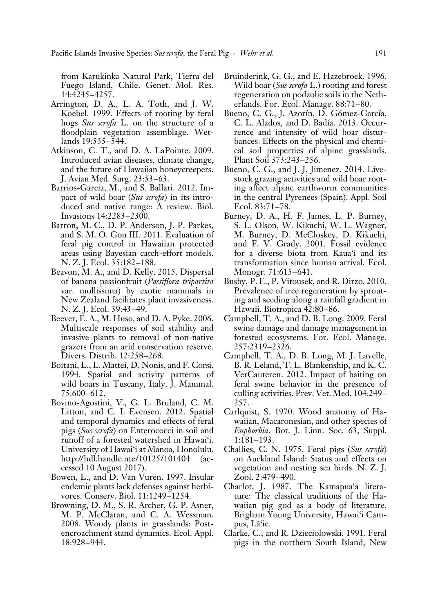from Karukinka Natural Park, Tierra del Fuego Island, Chile. Genet. Mol. Res. 14:4245–4257.

- Arrington, D. A., L. A. Toth, and J. W. Koebel. 1999. Effects of rooting by feral hogs *Sus scrofa* L. on the structure of a floodplain vegetation assemblage. Wetlands 19:535–544.
- Atkinson, C. T., and D. A. LaPointe. 2009. Introduced avian diseases, climate change, and the future of Hawaiian honeycreepers. J. Avian Med. Surg. 23:53–63.
- Barrios-Garcia, M., and S. Ballari. 2012. Impact of wild boar (*Sus scrofa*) in its introduced and native range: A review. Biol. Invasions 14:2283–2300.
- Barron, M. C., D. P. Anderson, J. P. Parkes, and S. M. O. Gon III. 2011. Evaluation of feral pig control in Hawaiian protected areas using Bayesian catch-effort models. N. Z. J. Ecol. 35:182–188.
- Beavon, M. A., and D. Kelly. 2015. Dispersal of banana passionfruit (*Passiflora tripartita* var. mollissima) by exotic mammals in New Zealand facilitates plant invasiveness. N. Z. J. Ecol. 39:43–49.
- Beever, E. A., M. Huso, and D. A. Pyke. 2006. Multiscale responses of soil stability and invasive plants to removal of non-native grazers from an arid conservation reserve. Divers. Distrib. 12:258–268.
- Boitani, L., L. Mattei, D. Nonis, and F. Corsi. 1994. Spatial and activity patterns of wild boars in Tuscany, Italy. J. Mammal. 75:600–612.
- Bovino-Agostini, V., G. L. Bruland, C. M. Litton, and C. I. Evensen. 2012. Spatial and temporal dynamics and effects of feral pigs (*Sus scrofa*) on Enterococci in soil and runoff of a forested watershed in Hawai'i. University of Hawai'i at Mänoa, Honolulu. http://hdl.handle.nte/10125/101404 (accessed 10 August 2017).
- Bowen, L., and D. Van Vuren. 1997. Insular endemic plants lack defenses against herbivores. Conserv. Biol. 11:1249–1254.
- Browning, D. M., S. R. Archer, G. P. Asner, M. P. McClaran, and C. A. Wessman. 2008. Woody plants in grasslands: Postencroachment stand dynamics. Ecol. Appl. 18:928–944.
- Bruinderink, G. G., and E. Hazebroek. 1996. Wild boar (*Sus scrofa* L.) rooting and forest regeneration on podzolic soils in the Netherlands. For. Ecol. Manage. 88:71–80.
- Bueno, C. G., J. Azorín, D. Gómez-García, C. L. Alados, and D. Badía. 2013. Occurrence and intensity of wild boar disturbances: Effects on the physical and chemical soil properties of alpine grasslands. Plant Soil 373:243–256.
- Bueno, C. G., and J. J. Jimenez. 2014. Livestock grazing activities and wild boar rooting affect alpine earthworm communities in the central Pyrenees (Spain). Appl. Soil Ecol. 83:71–78.
- Burney, D. A., H. F. James, L. P. Burney, S. L. Olson, W. Kikuchi, W. L. Wagner, M. Burney, D. McCloskey, D. Kikuchi, and F. V. Grady. 2001. Fossil evidence for a diverse biota from Kaua'i and its transformation since human arrival. Ecol. Monogr. 71:615–641.
- Busby, P. E., P. Vitousek, and R. Dirzo. 2010. Prevalence of tree regeneration by sprouting and seeding along a rainfall gradient in Hawaii. Biotropica 42:80–86.
- Campbell, T. A., and D. B. Long. 2009. Feral swine damage and damage management in forested ecosystems. For. Ecol. Manage. 257:2319–2326.
- Campbell, T. A., D. B. Long, M. J. Lavelle, B. R. Leland, T. L. Blankenship, and K. C. VerCauteren. 2012. Impact of baiting on feral swine behavior in the presence of culling activities. Prev. Vet. Med. 104:249– 257.
- Carlquist, S. 1970. Wood anatomy of Hawaiian, Macaronesian, and other species of *Euphorbia*. Bot. J. Linn. Soc. 63, Suppl. 1:181–193.
- Challies, C. N. 1975. Feral pigs (*Sus scrofa*) on Auckland Island: Status and effects on vegetation and nesting sea birds. N. Z. J. Zool. 2:479–490.
- Charlot, J. 1987. The Kamapua'a literature: The classical traditions of the Hawaiian pig god as a body of literature. Brigham Young University, Hawai'i Campus, Lä'ie.
- Clarke, C., and R. Dzieciolowski. 1991. Feral pigs in the northern South Island, New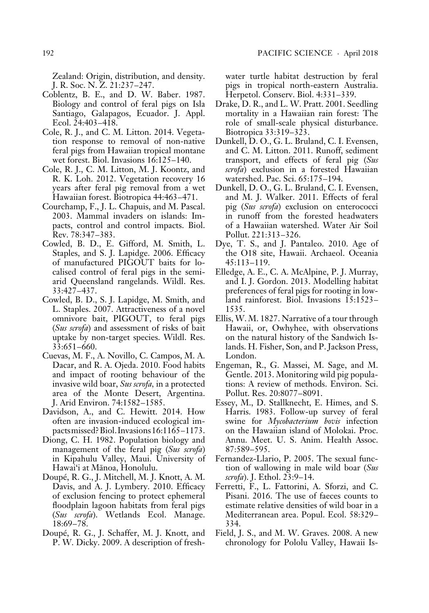Zealand: Origin, distribution, and density. J. R. Soc. N. Z. 21:237–247.

- Coblentz, B. E., and D. W. Baber. 1987. Biology and control of feral pigs on Isla Santiago, Galapagos, Ecuador. J. Appl. Ecol. 24:403–418.
- Cole, R. J., and C. M. Litton. 2014. Vegetation response to removal of non-native feral pigs from Hawaiian tropical montane wet forest. Biol. Invasions 16:125–140.
- Cole, R. J., C. M. Litton, M. J. Koontz, and R. K. Loh. 2012. Vegetation recovery 16 years after feral pig removal from a wet Hawaiian forest. Biotropica 44:463–471.
- Courchamp, F., J. L. Chapuis, and M. Pascal. 2003. Mammal invaders on islands: Impacts, control and control impacts. Biol. Rev. 78:347–383.
- Cowled, B. D., E. Gifford, M. Smith, L. Staples, and S. J. Lapidge. 2006. Efficacy of manufactured PIGOUT baits for localised control of feral pigs in the semiarid Queensland rangelands. Wildl. Res. 33:427–437.
- Cowled, B. D., S. J. Lapidge, M. Smith, and L. Staples. 2007. Attractiveness of a novel omnivore bait, PIGOUT, to feral pigs (*Sus scrofa*) and assessment of risks of bait uptake by non-target species. Wildl. Res. 33:651–660.
- Cuevas, M. F., A. Novillo, C. Campos, M. A. Dacar, and R. A. Ojeda. 2010. Food habits and impact of rooting behaviour of the invasive wild boar, *Sus scrofa,* in a protected area of the Monte Desert, Argentina. J. Arid Environ. 74:1582–1585.
- Davidson, A., and C. Hewitt. 2014. How often are invasion-induced ecological impacts missed? Biol. Invasions 16:1165–1173.
- Diong, C. H. 1982. Population biology and management of the feral pig (*Sus scrofa*) in Kipahulu Valley, Maui. University of Hawai'i at Mänoa, Honolulu.
- Doupé, R. G., J. Mitchell, M. J. Knott, A. M. Davis, and A. J. Lymbery. 2010. Efficacy of exclusion fencing to protect ephemeral floodplain lagoon habitats from feral pigs (*Sus scrofa*). Wetlands Ecol. Manage. 18:69–78.
- Doupé, R. G., J. Schaffer, M. J. Knott, and P. W. Dicky. 2009. A description of fresh-

water turtle habitat destruction by feral pigs in tropical north-eastern Australia. Herpetol. Conserv. Biol. 4:331–339.

- Drake, D. R., and L. W. Pratt. 2001. Seedling mortality in a Hawaiian rain forest: The role of small-scale physical disturbance. Biotropica 33:319–323.
- Dunkell, D. O., G. L. Bruland, C. I. Evensen, and C. M. Litton. 2011. Runoff, sediment transport, and effects of feral pig (*Sus scrofa*) exclusion in a forested Hawaiian watershed. Pac. Sci. 65:175–194.
- Dunkell, D. O., G. L. Bruland, C. I. Evensen, and M. J. Walker. 2011. Effects of feral pig (*Sus scrofa*) exclusion on enterococci in runoff from the forested headwaters of a Hawaiian watershed. Water Air Soil Pollut. 221:313–326.
- Dye, T. S., and J. Pantaleo. 2010. Age of the O18 site, Hawaii. Archaeol. Oceania 45:113–119.
- Elledge, A. E., C. A. McAlpine, P. J. Murray, and I. J. Gordon. 2013. Modelling habitat preferences of feral pigs for rooting in lowland rainforest. Biol. Invasions 15:1523– 1535.
- Ellis, W. M. 1827. Narrative of a tour through Hawaii, or, Owhyhee, with observations on the natural history of the Sandwich Islands. H. Fisher, Son, and P. Jackson Press, London.
- Engeman, R., G. Massei, M. Sage, and M. Gentle. 2013. Monitoring wild pig populations: A review of methods. Environ. Sci. Pollut. Res. 20:8077–8091.
- Essey, M., D. Stallknecht, E. Himes, and S. Harris. 1983. Follow-up survey of feral swine for *Mycobacterium bovis* infection on the Hawaiian island of Molokai. Proc. Annu. Meet. U. S. Anim. Health Assoc. 87:589–595.
- Fernandez-Llario, P. 2005. The sexual function of wallowing in male wild boar (*Sus scrofa*). J. Ethol. 23:9–14.
- Ferretti, F., L. Fattorini, A. Sforzi, and C. Pisani. 2016. The use of faeces counts to estimate relative densities of wild boar in a Mediterranean area. Popul. Ecol. 58:329– 334.
- Field, J. S., and M. W. Graves. 2008. A new chronology for Pololu Valley, Hawaii Is-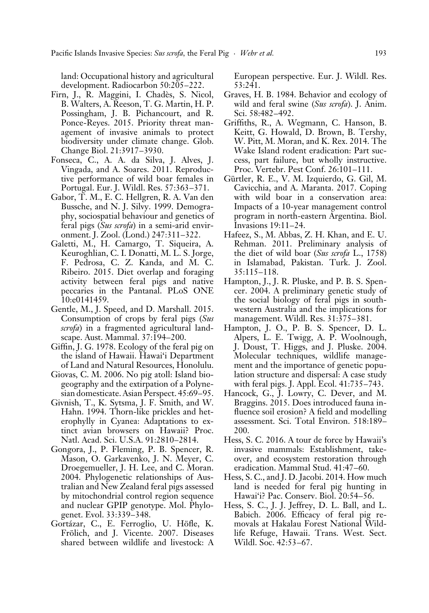land: Occupational history and agricultural development. Radiocarbon 50:205–222.

- Firn, J., R. Maggini, I. Chadès, S. Nicol, B. Walters, A. Reeson, T. G. Martin, H. P. Possingham, J. B. Pichancourt, and R. Ponce-Reyes. 2015. Priority threat management of invasive animals to protect biodiversity under climate change. Glob. Change Biol. 21:3917–3930.
- Fonseca, C., A. A. da Silva, J. Alves, J. Vingada, and A. Soares. 2011. Reproductive performance of wild boar females in Portugal. Eur. J. Wildl. Res. 57:363–371.
- Gabor, T. M., E. C. Hellgren, R. A. Van den Bussche, and N. J. Silvy. 1999. Demography, sociospatial behaviour and genetics of feral pigs (*Sus scrofa*) in a semi-arid environment. J. Zool. (Lond.) 247:311–322.
- Galetti, M., H. Camargo, T. Siqueira, A. Keuroghlian, C. I. Donatti, M. L. S. Jorge, F. Pedrosa, C. Z. Kanda, and M. C. Ribeiro. 2015. Diet overlap and foraging activity between feral pigs and native peccaries in the Pantanal. PLoS ONE 10:e0141459.
- Gentle, M., J. Speed, and D. Marshall. 2015. Consumption of crops by feral pigs (*Sus scrofa*) in a fragmented agricultural landscape. Aust. Mammal. 37:194–200.
- Giffin, J. G. 1978. Ecology of the feral pig on the island of Hawaii. Hawai'i Department of Land and Natural Resources, Honolulu.
- Giovas, C. M. 2006. No pig atoll: Island biogeography and the extirpation of a Polynesian domesticate. Asian Perspect. 45:69–95.
- Givnish, T., K. Sytsma, J. F. Smith, and W. Hahn. 1994. Thorn-like prickles and heterophylly in Cyanea: Adaptations to extinct avian browsers on Hawaii? Proc. Natl. Acad. Sci. U.S.A. 91:2810–2814.
- Gongora, J., P. Fleming, P. B. Spencer, R. Mason, O. Garkavenko, J. N. Meyer, C. Droegemueller, J. H. Lee, and C. Moran. 2004. Phylogenetic relationships of Australian and New Zealand feral pigs assessed by mitochondrial control region sequence and nuclear GPIP genotype. Mol. Phylogenet. Evol. 33:339–348.
- Gortázar, C., E. Ferroglio, U. Höfle, K. Frölich, and J. Vicente. 2007. Diseases shared between wildlife and livestock: A

European perspective. Eur. J. Wildl. Res. 53:241.

- Graves, H. B. 1984. Behavior and ecology of wild and feral swine (*Sus scrofa*). J. Anim. Sci. 58:482–492.
- Griffiths, R., A. Wegmann, C. Hanson, B. Keitt, G. Howald, D. Brown, B. Tershy, W. Pitt, M. Moran, and K. Rex. 2014. The Wake Island rodent eradication: Part success, part failure, but wholly instructive. Proc. Vertebr. Pest Conf. 26:101–111.
- Gürtler, R. E., V. M. Izquierdo, G. Gil, M. Cavicchia, and A. Maranta. 2017. Coping with wild boar in a conservation area: Impacts of a 10-year management control program in north-eastern Argentina. Biol. Invasions 19:11–24.
- Hafeez, S., M. Abbas, Z. H. Khan, and E. U. Rehman. 2011. Preliminary analysis of the diet of wild boar (*Sus scrofa* L., 1758) in Islamabad, Pakistan. Turk. J. Zool. 35:115–118.
- Hampton, J., J. R. Pluske, and P. B. S. Spencer. 2004. A preliminary genetic study of the social biology of feral pigs in southwestern Australia and the implications for management. Wildl. Res. 31:375–381.
- Hampton, J. O., P. B. S. Spencer, D. L. Alpers, L. E. Twigg, A. P. Woolnough, J. Doust, T. Higgs, and J. Pluske. 2004. Molecular techniques, wildlife management and the importance of genetic population structure and dispersal: A case study with feral pigs. J. Appl. Ecol. 41:735–743.
- Hancock, G., J. Lowry, C. Dever, and M. Braggins. 2015. Does introduced fauna influence soil erosion? A field and modelling assessment. Sci. Total Environ. 518:189– 200.
- Hess, S. C. 2016. A tour de force by Hawaii's invasive mammals: Establishment, takeover, and ecosystem restoration through eradication. Mammal Stud. 41:47–60.
- Hess, S. C., and J. D. Jacobi. 2014. How much land is needed for feral pig hunting in Hawai'i? Pac. Conserv. Biol. 20:54–56.
- Hess, S. C., J. J. Jeffrey, D. L. Ball, and L. Babich. 2006. Efficacy of feral pig removals at Hakalau Forest National Wildlife Refuge, Hawaii. Trans. West. Sect. Wildl. Soc. 42:53–67.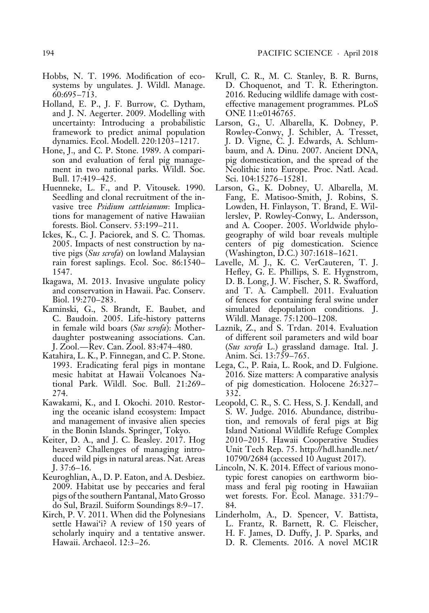- Hobbs, N. T. 1996. Modification of ecosystems by ungulates. J. Wildl. Manage. 60:695–713.
- Holland, E. P., J. F. Burrow, C. Dytham, and J. N. Aegerter. 2009. Modelling with uncertainty: Introducing a probabilistic framework to predict animal population dynamics. Ecol. Modell. 220:1203–1217.
- Hone, J., and C. P. Stone. 1989. A comparison and evaluation of feral pig management in two national parks. Wildl. Soc. Bull. 17:419–425.
- Huenneke, L. F., and P. Vitousek. 1990. Seedling and clonal recruitment of the invasive tree *Psidium cattleianum*: Implications for management of native Hawaiian forests. Biol. Conserv. 53:199–211.
- Ickes, K., C. J. Paciorek, and S. C. Thomas. 2005. Impacts of nest construction by native pigs (*Sus scrofa*) on lowland Malaysian rain forest saplings. Ecol. Soc. 86:1540– 1547.
- Ikagawa, M. 2013. Invasive ungulate policy and conservation in Hawaii. Pac. Conserv. Biol. 19:270–283.
- Kaminski, G., S. Brandt, E. Baubet, and C. Baudoin. 2005. Life-history patterns in female wild boars (*Sus scrofa*): Motherdaughter postweaning associations. Can. J. Zool.—Rev. Can. Zool. 83:474–480.
- Katahira, L. K., P. Finnegan, and C. P. Stone. 1993. Eradicating feral pigs in montane mesic habitat at Hawaii Volcanoes National Park. Wildl. Soc. Bull. 21:269– 274.
- Kawakami, K., and I. Okochi. 2010. Restoring the oceanic island ecosystem: Impact and management of invasive alien species in the Bonin Islands. Springer, Tokyo.
- Keiter, D. A., and J. C. Beasley. 2017. Hog heaven? Challenges of managing introduced wild pigs in natural areas. Nat. Areas J. 37:6–16.
- Keuroghlian, A., D. P. Eaton, and A. Desbiez. 2009. Habitat use by peccaries and feral pigs of the southern Pantanal, Mato Grosso do Sul, Brazil. Suiform Soundings 8:9–17.
- Kirch, P. V. 2011. When did the Polynesians settle Hawai'i? A review of 150 years of scholarly inquiry and a tentative answer. Hawaii. Archaeol. 12:3–26.
- Krull, C. R., M. C. Stanley, B. R. Burns, D. Choquenot, and T. R. Etherington. 2016. Reducing wildlife damage with costeffective management programmes. PLoS ONE 11:e0146765.
- Larson, G., U. Albarella, K. Dobney, P. Rowley-Conwy, J. Schibler, A. Tresset, J. D. Vigne, C. J. Edwards, A. Schlumbaum, and A. Dinu. 2007. Ancient DNA, pig domestication, and the spread of the Neolithic into Europe. Proc. Natl. Acad. Sci. 104:15276–15281.
- Larson, G., K. Dobney, U. Albarella, M. Fang, E. Matisoo-Smith, J. Robins, S. Lowden, H. Finlayson, T. Brand, E. Willerslev, P. Rowley-Conwy, L. Andersson, and A. Cooper. 2005. Worldwide phylogeography of wild boar reveals multiple centers of pig domestication. Science (Washington, D.C.) 307:1618–1621.
- Lavelle, M. J., K. C. VerCauteren, T. J. Hefley, G. E. Phillips, S. E. Hygnstrom, D. B. Long, J. W. Fischer, S. R. Swafford, and T. A. Campbell. 2011. Evaluation of fences for containing feral swine under simulated depopulation conditions. J. Wildl. Manage. 75:1200–1208.
- Laznik, Z., and S. Trdan. 2014. Evaluation of different soil parameters and wild boar (*Sus scrofa* L.) grassland damage. Ital. J. Anim. Sci. 13:759–765.
- Lega, C., P. Raia, L. Rook, and D. Fulgione. 2016. Size matters: A comparative analysis of pig domestication. Holocene 26:327– 332.
- Leopold, C. R., S. C. Hess, S. J. Kendall, and S. W. Judge. 2016. Abundance, distribution, and removals of feral pigs at Big Island National Wildlife Refuge Complex 2010–2015. Hawaii Cooperative Studies Unit Tech Rep. 75. http://hdl.handle.net / 10790/2684 (accessed 10 August 2017).
- Lincoln, N. K. 2014. Effect of various monotypic forest canopies on earthworm biomass and feral pig rooting in Hawaiian wet forests. For. Ecol. Manage. 331:79– 84.
- Linderholm, A., D. Spencer, V. Battista, L. Frantz, R. Barnett, R. C. Fleischer, H. F. James, D. Duffy, J. P. Sparks, and D. R. Clements. 2016. A novel MC1R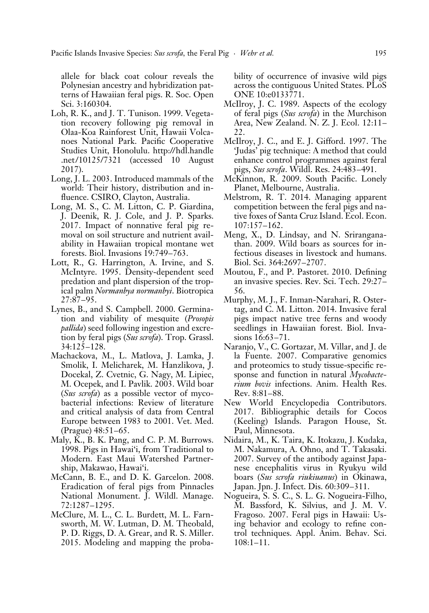allele for black coat colour reveals the Polynesian ancestry and hybridization patterns of Hawaiian feral pigs. R. Soc. Open Sci. 3:160304.

- Loh, R. K., and J. T. Tunison. 1999. Vegetation recovery following pig removal in Olaa-Koa Rainforest Unit, Hawaii Volcanoes National Park. Pacific Cooperative Studies Unit, Honolulu. http://hdl.handle .net /10125/7321 (accessed 10 August 2017).
- Long, J. L. 2003. Introduced mammals of the world: Their history, distribution and influence. CSIRO, Clayton, Australia.
- Long, M. S., C. M. Litton, C. P. Giardina, J. Deenik, R. J. Cole, and J. P. Sparks. 2017. Impact of nonnative feral pig removal on soil structure and nutrient availability in Hawaiian tropical montane wet forests. Biol. Invasions 19:749–763.
- Lott, R., G. Harrington, A. Irvine, and S. McIntyre. 1995. Density-dependent seed predation and plant dispersion of the tropical palm *Normanbya normanbyi*. Biotropica 27:87–95.
- Lynes, B., and S. Campbell. 2000. Germination and viability of mesquite (*Prosopis pallida*) seed following ingestion and excretion by feral pigs (*Sus scrofa*). Trop. Grassl. 34:125–128.
- Machackova, M., L. Matlova, J. Lamka, J. Smolik, I. Melicharek, M. Hanzlikova, J. Docekal, Z. Cvetnic, G. Nagy, M. Lipiec, M. Ocepek, and I. Pavlik. 2003. Wild boar (*Sus scrofa*) as a possible vector of mycobacterial infections: Review of literature and critical analysis of data from Central Europe between 1983 to 2001. Vet. Med. (Prague) 48:51–65.
- Maly, K., B. K. Pang, and C. P. M. Burrows. 1998. Pigs in Hawai'i, from Traditional to Modern. East Maui Watershed Partnership, Makawao, Hawai'i.
- McCann, B. E., and D. K. Garcelon. 2008. Eradication of feral pigs from Pinnacles National Monument. J. Wildl. Manage. 72:1287–1295.
- McClure, M. L., C. L. Burdett, M. L. Farnsworth, M. W. Lutman, D. M. Theobald, P. D. Riggs, D. A. Grear, and R. S. Miller. 2015. Modeling and mapping the proba-

bility of occurrence of invasive wild pigs across the contiguous United States. PLoS ONE 10:e0133771.

- McIlroy, J. C. 1989. Aspects of the ecology of feral pigs (*Sus scrofa*) in the Murchison Area, New Zealand. N. Z. J. Ecol. 12:11– 22.
- McIlroy, J. C., and E. J. Gifford. 1997. The 'Judas' pig technique: A method that could enhance control programmes against feral pigs, *Sus scrofa*. Wildl. Res. 24:483–491.
- McKinnon, R. 2009. South Pacific. Lonely Planet, Melbourne, Australia.
- Melstrom, R. T. 2014. Managing apparent competition between the feral pigs and native foxes of Santa Cruz Island. Ecol. Econ. 107:157–162.
- Meng, X., D. Lindsay, and N. Sriranganathan. 2009. Wild boars as sources for infectious diseases in livestock and humans. Biol. Sci. 364:2697–2707.
- Moutou, F., and P. Pastoret. 2010. Defining an invasive species. Rev. Sci. Tech. 29:27– 56.
- Murphy, M. J., F. Inman-Narahari, R. Ostertag, and C. M. Litton. 2014. Invasive feral pigs impact native tree ferns and woody seedlings in Hawaiian forest. Biol. Invasions 16:63–71.
- Naranjo, V., C. Gortazar, M. Villar, and J. de la Fuente. 2007. Comparative genomics and proteomics to study tissue-specific response and function in natural *Mycobacterium bovis* infections. Anim. Health Res. Rev. 8:81–88.
- New World Encyclopedia Contributors. 2017. Bibliographic details for Cocos (Keeling) Islands. Paragon House, St. Paul, Minnesota.
- Nidaira, M., K. Taira, K. Itokazu, J. Kudaka, M. Nakamura, A. Ohno, and T. Takasaki. 2007. Survey of the antibody against Japanese encephalitis virus in Ryukyu wild boars (*Sus scrofa riukiuanus*) in Okinawa, Japan. Jpn. J. Infect. Dis. 60:309–311.
- Nogueira, S. S. C., S. L. G. Nogueira-Filho, M. Bassford, K. Silvius, and J. M. V. Fragoso. 2007. Feral pigs in Hawaii: Using behavior and ecology to refine control techniques. Appl. Anim. Behav. Sci. 108:1–11.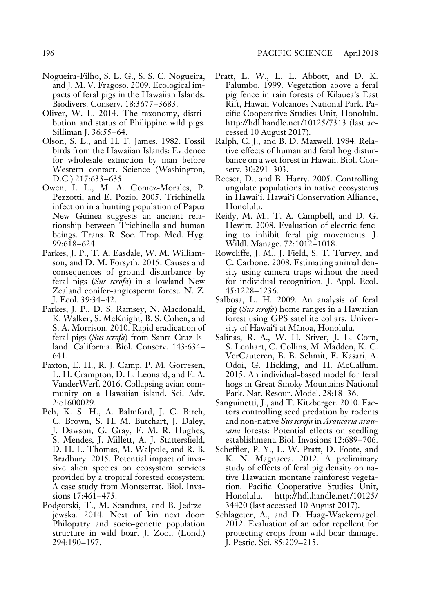- Nogueira-Filho, S. L. G., S. S. C. Nogueira, and J. M. V. Fragoso. 2009. Ecological impacts of feral pigs in the Hawaiian Islands. Biodivers. Conserv. 18:3677–3683.
- Oliver, W. L. 2014. The taxonomy, distribution and status of Philippine wild pigs. Silliman J. 36:55–64.
- Olson, S. L., and H. F. James. 1982. Fossil birds from the Hawaiian Islands: Evidence for wholesale extinction by man before Western contact. Science (Washington, D.C.) 217:633–635.
- Owen, I. L., M. A. Gomez-Morales, P. Pezzotti, and E. Pozio. 2005. Trichinella infection in a hunting population of Papua New Guinea suggests an ancient relationship between Trichinella and human beings. Trans. R. Soc. Trop. Med. Hyg. 99:618–624.
- Parkes, J. P., T. A. Easdale, W. M. Williamson, and D. M. Forsyth. 2015. Causes and consequences of ground disturbance by feral pigs (*Sus scrofa*) in a lowland New Zealand conifer-angiosperm forest. N. Z. J. Ecol. 39:34–42.
- Parkes, J. P., D. S. Ramsey, N. Macdonald, K. Walker, S. McKnight, B. S. Cohen, and S. A. Morrison. 2010. Rapid eradication of feral pigs (*Sus scrofa*) from Santa Cruz Island, California. Biol. Conserv. 143:634– 641.
- Paxton, E. H., R. J. Camp, P. M. Gorresen, L. H. Crampton, D. L. Leonard, and E. A. VanderWerf. 2016. Collapsing avian community on a Hawaiian island. Sci. Adv. 2:e1600029.
- Peh, K. S. H., A. Balmford, J. C. Birch, C. Brown, S. H. M. Butchart, J. Daley, J. Dawson, G. Gray, F. M. R. Hughes, S. Mendes, J. Millett, A. J. Stattersfield, D. H. L. Thomas, M. Walpole, and R. B. Bradbury. 2015. Potential impact of invasive alien species on ecosystem services provided by a tropical forested ecosystem: A case study from Montserrat. Biol. Invasions 17:461–475.
- Podgorski, T., M. Scandura, and B. Jedrzejewska. 2014. Next of kin next door: Philopatry and socio-genetic population structure in wild boar. J. Zool. (Lond.) 294:190–197.
- Pratt, L. W., L. L. Abbott, and D. K. Palumbo. 1999. Vegetation above a feral pig fence in rain forests of Kilauea's East Rift, Hawaii Volcanoes National Park. Pacific Cooperative Studies Unit, Honolulu. http://hdl.handle.net /10125/7313 (last accessed 10 August 2017).
- Ralph, C. J., and B. D. Maxwell. 1984. Relative effects of human and feral hog disturbance on a wet forest in Hawaii. Biol. Conserv. 30:291–303.
- Reeser, D., and B. Harry. 2005. Controlling ungulate populations in native ecosystems in Hawai'i. Hawai'i Conservation Alliance, Honolulu.
- Reidy, M. M., T. A. Campbell, and D. G. Hewitt. 2008. Evaluation of electric fencing to inhibit feral pig movements. J. Wildl. Manage. 72:1012–1018.
- Rowcliffe, J. M., J. Field, S. T. Turvey, and C. Carbone. 2008. Estimating animal density using camera traps without the need for individual recognition. J. Appl. Ecol. 45:1228–1236.
- Salbosa, L. H. 2009. An analysis of feral pig (*Sus scrofa*) home ranges in a Hawaiian forest using GPS satellite collars. University of Hawai'i at Mänoa, Honolulu.
- Salinas, R. A., W. H. Stiver, J. L. Corn, S. Lenhart, C. Collins, M. Madden, K. C. VerCauteren, B. B. Schmit, E. Kasari, A. Odoi, G. Hickling, and H. McCallum. 2015. An individual-based model for feral hogs in Great Smoky Mountains National Park. Nat. Resour. Model. 28:18–36.
- Sanguinetti, J., and T. Kitzberger. 2010. Factors controlling seed predation by rodents and non-native *Sus scrofa* in *Araucaria araucana* forests: Potential effects on seedling establishment. Biol. Invasions 12:689–706.
- Scheffler, P. Y., L. W. Pratt, D. Foote, and K. N. Magnacca. 2012. A preliminary study of effects of feral pig density on native Hawaiian montane rainforest vegetation. Pacific Cooperative Studies Unit, Honolulu. http://hdl.handle.net /10125/ 34420 (last accessed 10 August 2017).
- Schlageter, A., and D. Haag-Wackernagel. 2012. Evaluation of an odor repellent for protecting crops from wild boar damage. J. Pestic. Sci. 85:209–215.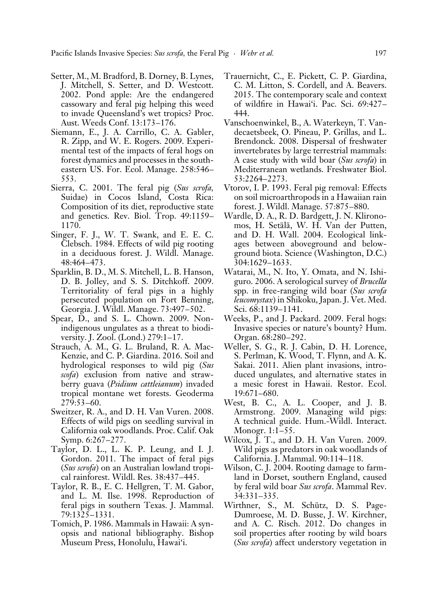- Setter, M., M. Bradford, B. Dorney, B. Lynes, J. Mitchell, S. Setter, and D. Westcott. 2002. Pond apple: Are the endangered cassowary and feral pig helping this weed to invade Queensland's wet tropics? Proc. Aust. Weeds Conf. 13:173–176.
- Siemann, E., J. A. Carrillo, C. A. Gabler, R. Zipp, and W. E. Rogers. 2009. Experimental test of the impacts of feral hogs on forest dynamics and processes in the southeastern US. For. Ecol. Manage. 258:546– 553.
- Sierra, C. 2001. The feral pig (*Sus scrofa,* Suidae) in Cocos Island, Costa Rica: Composition of its diet, reproductive state and genetics. Rev. Biol. Trop. 49:1159– 1170.
- Singer, F. J., W. T. Swank, and E. E. C. Clebsch. 1984. Effects of wild pig rooting in a deciduous forest. J. Wildl. Manage. 48:464–473.
- Sparklin, B. D., M. S. Mitchell, L. B. Hanson, D. B. Jolley, and S. S. Ditchkoff. 2009. Territoriality of feral pigs in a highly persecuted population on Fort Benning, Georgia. J. Wildl. Manage. 73:497–502.
- Spear, D., and S. L. Chown. 2009. Nonindigenous ungulates as a threat to biodiversity. J. Zool. (Lond.) 279:1–17.
- Strauch, A. M., G. L. Bruland, R. A. Mac-Kenzie, and C. P. Giardina. 2016. Soil and hydrological responses to wild pig (*Sus scofa*) exclusion from native and strawberry guava (*Psidium cattleianum*) invaded tropical montane wet forests. Geoderma 279:53–60.
- Sweitzer, R. A., and D. H. Van Vuren. 2008. Effects of wild pigs on seedling survival in California oak woodlands. Proc. Calif. Oak Symp. 6:267–277.
- Taylor, D. L., L. K. P. Leung, and I. J. Gordon. 2011. The impact of feral pigs (*Sus scrofa*) on an Australian lowland tropical rainforest. Wildl. Res. 38:437–445.
- Taylor, R. B., E. C. Hellgren, T. M. Gabor, and L. M. Ilse. 1998. Reproduction of feral pigs in southern Texas. J. Mammal. 79:1325–1331.
- Tomich, P. 1986. Mammals in Hawaii: A synopsis and national bibliography. Bishop Museum Press, Honolulu, Hawai'i.
- Trauernicht, C., E. Pickett, C. P. Giardina, C. M. Litton, S. Cordell, and A. Beavers. 2015. The contemporary scale and context of wildfire in Hawai'i. Pac. Sci. 69:427– 444.
- Vanschoenwinkel, B., A. Waterkeyn, T. Vandecaetsbeek, O. Pineau, P. Grillas, and L. Brendonck. 2008. Dispersal of freshwater invertebrates by large terrestrial mammals: A case study with wild boar (*Sus scrofa*) in Mediterranean wetlands. Freshwater Biol. 53:2264–2273.
- Vtorov, I. P. 1993. Feral pig removal: Effects on soil microarthropods in a Hawaiian rain forest. J. Wildl. Manage. 57:875–880.
- Wardle, D. A., R. D. Bardgett, J. N. Klironomos, H. Setälä, W. H. Van der Putten, and D. H. Wall. 2004. Ecological linkages between aboveground and belowground biota. Science (Washington, D.C.) 304:1629–1633.
- Watarai, M., N. Ito, Y. Omata, and N. Ishiguro. 2006. A serological survey of *Brucella* spp. in free-ranging wild boar (*Sus scrofa leucomystax*) in Shikoku, Japan. J. Vet. Med. Sci. 68:1139–1141.
- Weeks, P., and J. Packard. 2009. Feral hogs: Invasive species or nature's bounty? Hum. Organ. 68:280–292.
- Weller, S. G., R. J. Cabin, D. H. Lorence, S. Perlman, K. Wood, T. Flynn, and A. K. Sakai. 2011. Alien plant invasions, introduced ungulates, and alternative states in a mesic forest in Hawaii. Restor. Ecol. 19:671–680.
- West, B. C., A. L. Cooper, and J. B. Armstrong. 2009. Managing wild pigs: A technical guide. Hum.-Wildl. Interact. Monogr. 1:1–55.
- Wilcox, J. T., and D. H. Van Vuren. 2009. Wild pigs as predators in oak woodlands of California. J. Mammal. 90:114–118.
- Wilson, C. J. 2004. Rooting damage to farmland in Dorset, southern England, caused by feral wild boar *Sus scrofa*. Mammal Rev. 34:331–335.
- Wirthner, S., M. Schütz, D. S. Page-Dumroese, M. D. Busse, J. W. Kirchner, and A. C. Risch. 2012. Do changes in soil properties after rooting by wild boars (*Sus scrofa*) affect understory vegetation in